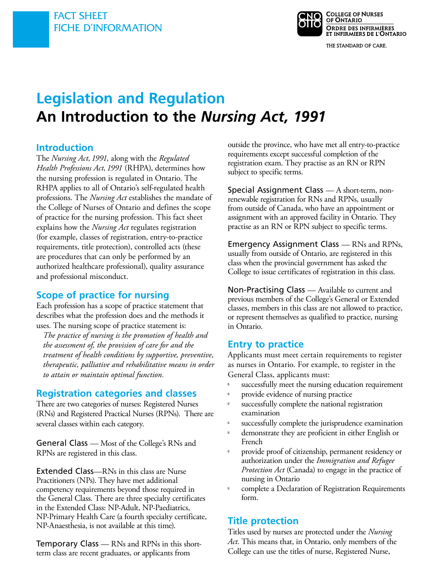

**Legislation and Regulation An Introduction to the** *Nursing Act, 1991* 

### **Introduction**

The *Nursing Act, 1991*, along with the *Regulated Health Professions Act, 1991* (RHPA), determines how the nursing profession is regulated in Ontario. The RHPA applies to all of Ontario's self-regulated health professions. The *Nursing Act* establishes the mandate of the College of Nurses of Ontario and defines the scope of practice for the nursing profession. This fact sheet explains how the *Nursing Act* regulates registration (for example, classes of registration, entry-to-practice requirements, title protection), controlled acts (these are procedures that can only be performed by an authorized healthcare professional), quality assurance and professional misconduct.

## **Scope of practice for nursing**

Each profession has a scope of practice statement that describes what the profession does and the methods it uses. The nursing scope of practice statement is:

*The practice of nursing is the promotion of health and the assessment of, the provision of care for and the treatment of health conditions by supportive, preventive, therapeutic, palliative and rehabilitative means in order to attain or maintain optimal function.* 

## **Registration categories and classes**

There are two categories of nurses: Registered Nurses (RNs) and Registered Practical Nurses (RPNs). There are several classes within each category.

General Class — Most of the College's RNs and RPNs are registered in this class.

Extended Class—RNs in this class are Nurse Practitioners (NPs). They have met additional competency requirements beyond those required in the General Class. There are three specialty certificates in the Extended Class: NP-Adult, NP-Paediatrics, NP-Primary Health Care (a fourth specialty certificate, NP-Anaesthesia, is not available at this time).

Temporary Class — RNs and RPNs in this shortterm class are recent graduates, or applicants from

outside the province, who have met all entry-to-practice requirements except successful completion of the registration exam. They practise as an RN or RPN subject to specific terms.

Special Assignment Class — A short-term, nonrenewable registration for RNs and RPNs, usually from outside of Canada, who have an appointment or assignment with an approved facility in Ontario. They practise as an RN or RPN subject to specific terms.

Emergency Assignment Class — RNs and RPNs, usually from outside of Ontario, are registered in this class when the provincial government has asked the College to issue certificates of registration in this class.

Non-Practising Class — Available to current and previous members of the College's General or Extended classes, members in this class are not allowed to practice, or represent themselves as qualified to practice, nursing in Ontario.

## **Entry to practice**

Applicants must meet certain requirements to register as nurses in Ontario. For example, to register in the General Class, applicants must:

successfully meet the nursing education requirement provide evidence of nursing practice

successfully complete the national registration examination

successfully complete the jurisprudence examination demonstrate they are proficient in either English or French

provide proof of citizenship, permanent residency or authorization under the *Immigration and Refugee Protection Act* (Canada) to engage in the practice of nursing in Ontario

complete a Declaration of Registration Requirements form.

# **Title protection**

Titles used by nurses are protected under the *Nursing Act*. This means that, in Ontario, only members of the College can use the titles of nurse, Registered Nurse,